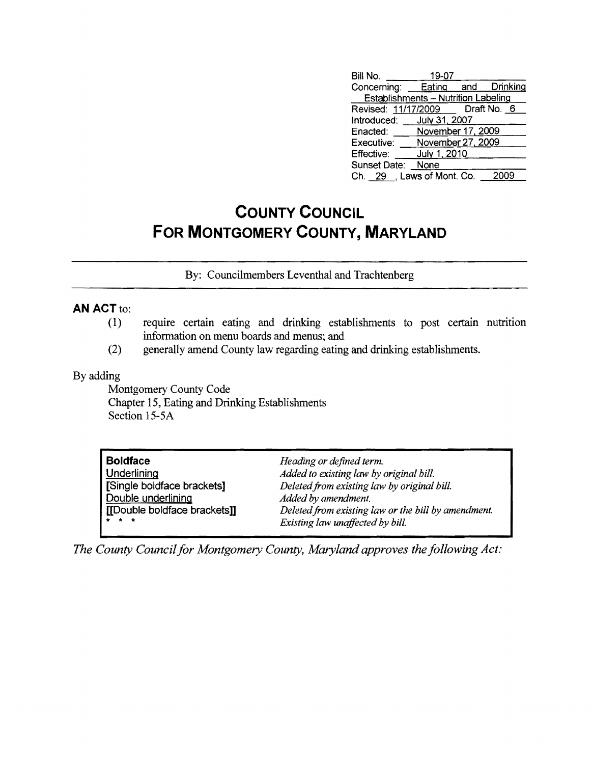| Bill No.                                   | 19-07             |      |
|--------------------------------------------|-------------------|------|
| Concerning: Eating and Drinking            |                   |      |
| <b>Establishments - Nutrition Labeling</b> |                   |      |
| Revised: 11/17/2009   Draft No. 6          |                   |      |
| Introduced: July 31, 2007                  |                   |      |
| Enacted:                                   | November 17, 2009 |      |
| Executive:                                 | November 27, 2009 |      |
| Effective:                                 | July 1, 2010      |      |
| Sunset Date:                               | None              |      |
| Ch. 29 , Laws of Mont. Co.                 |                   | 2009 |

## **COUNTY COUNCIL FOR MONTGOMERY COUNTY, MARYLAND**

By: Councilmembers Leventhal and Trachtenberg

## **AN ACT to:**

- (1) require certain eating and drinking establishments to post certain nutrition information on menu boards and menus; and
- (2) generally amend County law regarding eating and drinki ng establis hments.

## By adding

Montgomery County Code Chapter 15, Eating and Drinking Establishments Section 15-5A

| <b>Boldface</b>             | Heading or defined term.                            |
|-----------------------------|-----------------------------------------------------|
| <b>Underlining</b>          | Added to existing law by original bill.             |
| [Single boldface brackets]  | Deleted from existing law by original bill.         |
| Double underlining          | Added by amendment.                                 |
| [Double boldface brackets]] | Deleted from existing law or the bill by amendment. |
| * * *                       | Existing law unaffected by bill.                    |

*The County Council for Montgomery County, Maryland approves the following Act:*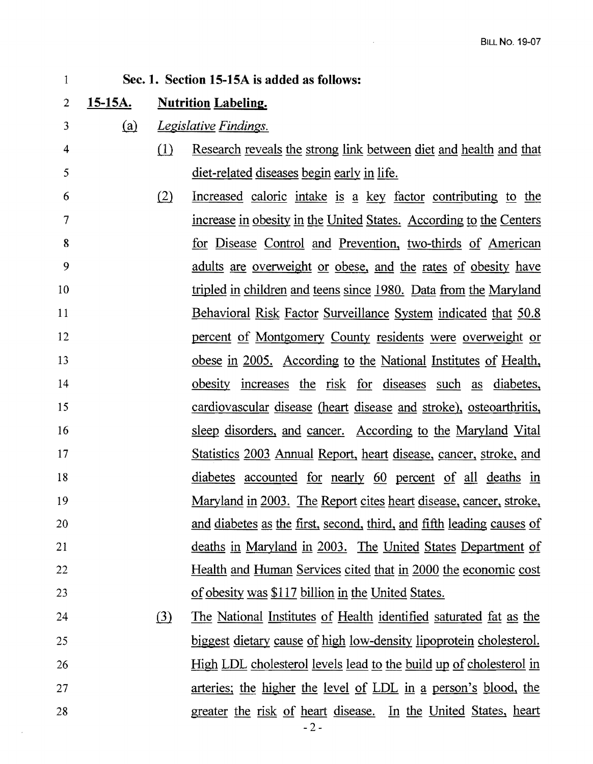## 1 2 3 4 5 6 7 8 9 10 11 12 13 14 15 16 17 18 19 20 21 22 23 24 25 26 27 28 Sec. 1. Section 15-15A is added as follows: 15-15A. Nutrition Labeling. (a) Legislative Findings.  $i$ ll Research reveals the strong link between diet and health and that diet-related diseases begin early in life.  $\lambda$  Increased caloric intake is a key factor contributing to the increase in obesity in the United States. According to the Centers for Disease Control and Prevention, two-thirds of American adults are overweight or obese, and the rates of obesity have tripled in children and teens since 1980. Data from the Maryland Behavioral Risk Factor Surveillance System indicated that 50.8 percent of Montgomery County residents were overweight or obese in 2005. According to the National Institutes of Health, obesity increases the risk for diseases such as diabetes, cardiovascular disease (heart disease and stroke), osteoarthritis, sleep disorders, and cancer. According to the Maryland Vital Statistics 2003 Annual Report, heart disease, cancer, stroke, and diabetes accounted for nearly 60 percent of all deaths in Maryland in 2003. The Report cites heart disease, cancer, stroke, and diabetes as the first, second, third, and fifth leading causes of deaths in Maryland in 2003. The United States Department of Health and Human Services cited that in 2000 the economic cost of obesity was \$117 billion in the United States.  $\lambda$  The National Institutes of Health identified saturated fat as the biggest dietary cause of high low-density lipoprotein cholesterol. High LDL cholesterol levels lead to the build up of cholesterol in arteries; the higher the level of LDL in a person's blood, the greater the risk of heart disease. In the United States, heart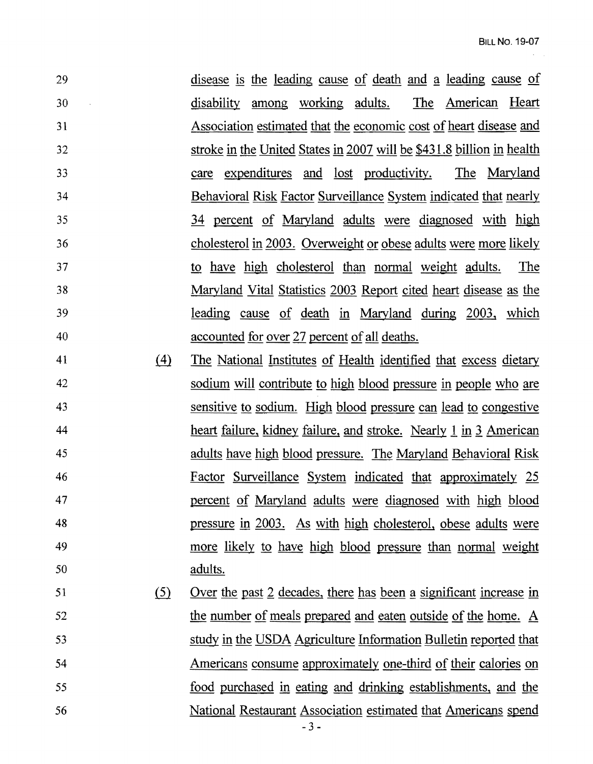29 disease is the leading cause of death and a leading cause of 30 disability among working adults. The American Heart 31 Association estimated that the economic cost ofheart disease and 32 stroke in the United States in 2007 will be \$431.8 billion in health 33 care expenditures and lost productivity. The Maryland 34 Behavioral Risk Factor Surveillance System indicated that nearly 35 34 percent of Maryland adults were diagnosed with high 36 cholesterol in 2003. Overweight or obese adults were more likely 37 to have high cholesterol than normal weight adults. The 38 Maryland Vital Statistics 2003 Report cited heart disease as the 39 leading cause of death in Maryland during 2003, which 40 accounted for over 27 percent of all deaths.

- 41 (4) The National Institutes of Health identified that excess dietary 42 sodium will contribute to high blood pressure in people who are 43 sensitive to sodium. High blood pressure can lead to congestive 44 heart failure, kidney failure, and stroke. Nearly 1 in 3 American 45 adults have high blood pressure. The Maryland Behavioral Risk 46 Factor Surveillance System indicated that approximately 25 47 percent of Maryland adults were diagnosed with high blood 48 pressure in 2003. As with high cholesterol, obese adults were 49 more likely to have high blood pressure than normal weight 50 adults.
- 51 (5) Over the past 2 decades, there has been a significant increase in 52 the number of meals prepared and eaten outside of the home. A 53 study in the USDA Agriculture Information Bulletin reported that 54 Americans consume approximately one-third of their calories on 55 food purchased in eating and drinking establishments, and the 56 National Restaurant Association estimated that Americans spend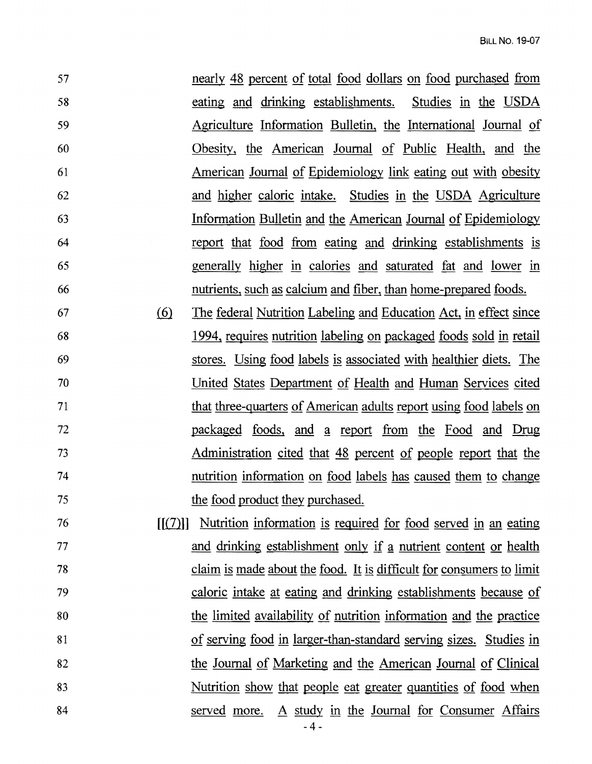57 nearly 48 percent of total food dollars on food purchased from 58 eating and drinking establishments. Studies in the USDA 59 Agriculture Information Bulletin, the International Journal of 60 Obesity, the American Journal of Public Health, and the 61 American Journal of Epidemiology link eating out with obesity 62 and higher caloric intake. Studies in the USDA Agriculture 63 Information Bulletin and the American Journal of Epidemiology 64 report that food from eating and drinking establishments is 65 generally higher in calories and saturated fat and lower in 66 nutrients, such as calcium and fiber, than home-prepared foods.

67 @ The federal Nutrition Labeling and Education Act, in effect since 68 1994, requires nutrition labeling on packaged foods sold in retail 69 stores. Using food labels is associated with healthier diets. The 70 United States Department of Health and Human Services cited 71 that three-quarters of American adults report using food labels on 72 **packaged foods, and a report from the Food and Drug** <sup>73</sup>Administration cited that 48 percent of people report that the 74 nutrition information on food labels has caused them to change 75 the food product they purchased.

76 [[ill]] Nutrition information is required for food served in an eating 77 and drinking establishment only if a nutrient content or health 78 claim is made about the food. It is difficult for consumers to limit 79 caloric intake at eating and drinking establishments because of 80 the limited availability of nutrition information and the practice 81 of serving food in larger-than-standard serving sizes. Studies in 82 the Journal of Marketing and the American Journal of Clinical 83 Nutrition show that people eat greater quantities of food when 84 served more. A study in the Journal for Consumer Affairs  $-4-$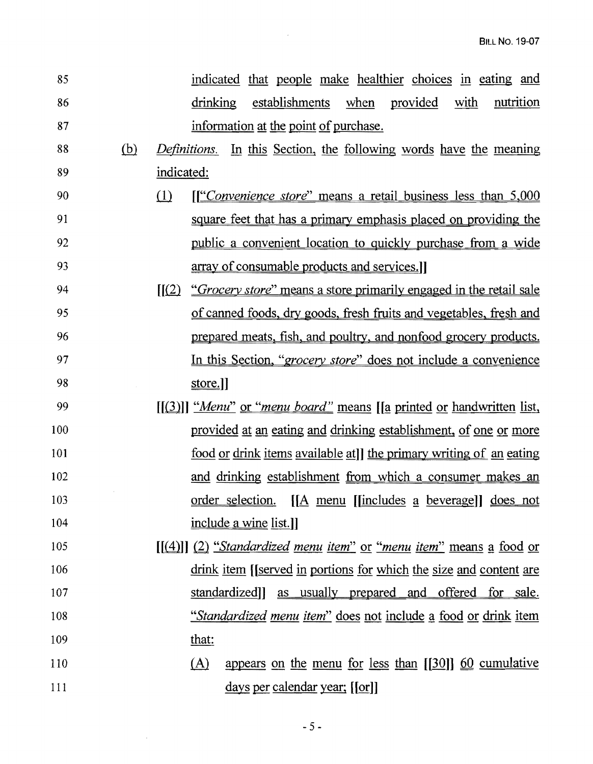| 85  |            | indicated that people make healthier choices in eating and                                    |
|-----|------------|-----------------------------------------------------------------------------------------------|
| 86  |            | drinking<br>establishments<br>provided<br>nutrition<br>when<br>with                           |
| 87  |            | information at the point of purchase.                                                         |
| 88  | <u>(b)</u> | <i>Definitions.</i> In this Section, the following words have the meaning                     |
| 89  |            | indicated:                                                                                    |
| 90  |            | $\Omega$<br><u>If Convenience store" means a retail business less than 5,000</u>              |
| 91  |            | square feet that has a primary emphasis placed on providing the                               |
| 92  |            | <u>public a convenient location to quickly purchase from a wide</u>                           |
| 93  |            | array of consumable products and services.                                                    |
| 94  |            | $\mathcal{L}(2)$<br><i>"Grocery store"</i> means a store primarily engaged in the retail sale |
| 95  |            | of canned foods, dry goods, fresh fruits and vegetables, fresh and                            |
| 96  |            | prepared meats, fish, and poultry, and nonfood grocery products.                              |
| 97  |            | In this Section, " <i>grocery store</i> " does not include a convenience                      |
| 98  |            | store.                                                                                        |
| 99  |            | [[(3)]] "Menu" or "menu board" means [[a printed or handwritten list,                         |
| 100 |            | provided at an eating and drinking establishment, of one or more                              |
| 101 |            | <u>food or drink items available at</u> dte primary writing of an eating                      |
| 102 |            | and drinking establishment from which a consumer makes an                                     |
| 103 |            | <u>order selection. [[A menu [[includes a beverage]] does not</u>                             |
| 104 |            | include a wine list.]                                                                         |
| 105 |            | $[(4)]$ $(2)$ "Standardized menu item" or "menu item" means a food or                         |
| 106 |            | drink item [[served in portions for which the size and content are                            |
| 107 |            | standardized]]<br>as usually prepared and offered for sale.                                   |
| 108 |            | <u>"Standardized menu item" does not include a food or drink item</u>                         |
| 109 |            | that:                                                                                         |
| 110 |            | appears on the menu for less than $[30]$ 60 cumulative<br>(A)                                 |
| 111 |            | days per calendar year; [[or]]                                                                |

 $\label{eq:2.1} \frac{1}{\sqrt{2}}\int_{\mathbb{R}^3} \frac{1}{\sqrt{2}}\left(\frac{1}{\sqrt{2}}\right)^2\frac{1}{\sqrt{2}}\left(\frac{1}{\sqrt{2}}\right)^2\frac{1}{\sqrt{2}}\left(\frac{1}{\sqrt{2}}\right)^2\frac{1}{\sqrt{2}}\left(\frac{1}{\sqrt{2}}\right)^2\frac{1}{\sqrt{2}}\left(\frac{1}{\sqrt{2}}\right)^2\frac{1}{\sqrt{2}}\frac{1}{\sqrt{2}}\frac{1}{\sqrt{2}}\frac{1}{\sqrt{2}}\frac{1}{\sqrt{2}}\frac{1}{\sqrt{2$ 

 $\mathcal{L}^{\text{max}}_{\text{max}}$  and  $\mathcal{L}^{\text{max}}_{\text{max}}$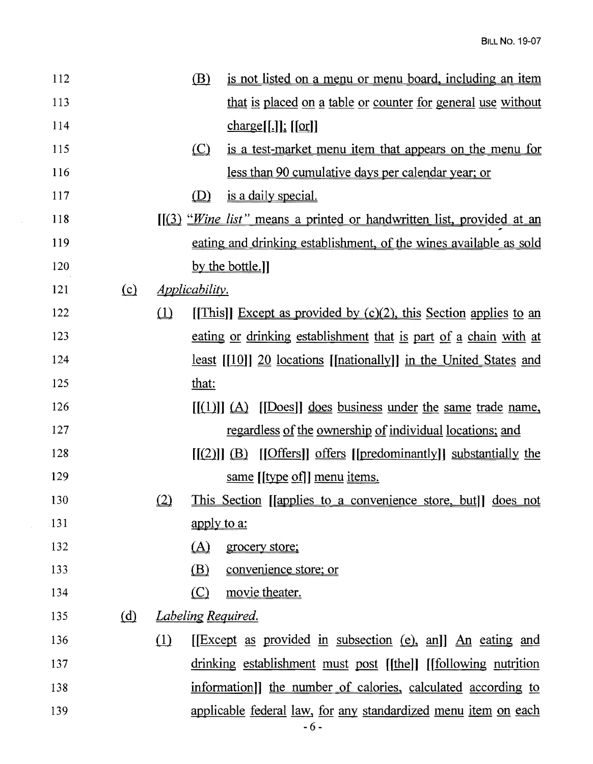| 112 |          |          | (B)                          | <u>is not listed on a menu or menu board, including an item</u>                 |
|-----|----------|----------|------------------------------|---------------------------------------------------------------------------------|
| 113 |          |          |                              | that is placed on a table or counter for general use without                    |
| 114 |          |          |                              | $charge[[.]]$ ; $[or]]$                                                         |
| 115 |          |          | $\circ$                      | is a test-market menu item that appears on the menu for                         |
| 116 |          |          |                              | less than 90 cumulative days per calendar year; or                              |
| 117 |          |          | (D)                          | is a daily special.                                                             |
| 118 |          |          |                              | $[(3)$ " <i>Wine list</i> " means a printed or handwritten list, provided at an |
| 119 |          |          |                              | eating and drinking establishment, of the wines available as sold               |
| 120 |          |          |                              | by the bottle.]                                                                 |
| 121 | $\Omega$ |          | <i><u>Applicability.</u></i> |                                                                                 |
| 122 |          | $\Box$   |                              | [This]] Except as provided by $(c)(2)$ , this Section applies to an             |
| 123 |          |          |                              | eating or drinking establishment that is part of a chain with at                |
| 124 |          |          |                              | <u>least</u> $[[10]]$ 20 locations [[nationally]] in the United States and      |
| 125 |          |          | that:                        |                                                                                 |
| 126 |          |          |                              | $[[(1)]] (A)$ [[Does]] does business under the same trade name,                 |
| 127 |          |          |                              | regardless of the ownership of individual locations; and                        |
| 128 |          |          |                              | $[(2)]$ $(B)$ $[Offers]$ offers $[predominantly]$ substantially the             |
| 129 |          |          |                              | same [[type of]] menu items.                                                    |
| 130 |          | $\Omega$ |                              | <u>This Section</u> [ <i>supplies to a convenience store, but</i> ]] does not   |
| 131 |          |          | apply to a:                  |                                                                                 |
| 132 |          |          | (A)                          | grocery store;                                                                  |
| 133 |          |          | (B)                          | convenience store; or                                                           |
| 134 |          |          | (C)                          | movie theater.                                                                  |
| 135 | (d)      |          |                              | <b>Labeling Required.</b>                                                       |
| 136 |          | (1)      |                              | [[Except as provided in subsection (e), an]] An eating and                      |
| 137 |          |          |                              | drinking establishment must post [[the]] [[following nutrition                  |
| 138 |          |          |                              | information]] the number of calories, calculated according to                   |
| 139 |          |          |                              | <u>applicable federal law, for any standardized menu item on each</u><br>$-6-$  |

 $\sim 10^{-11}$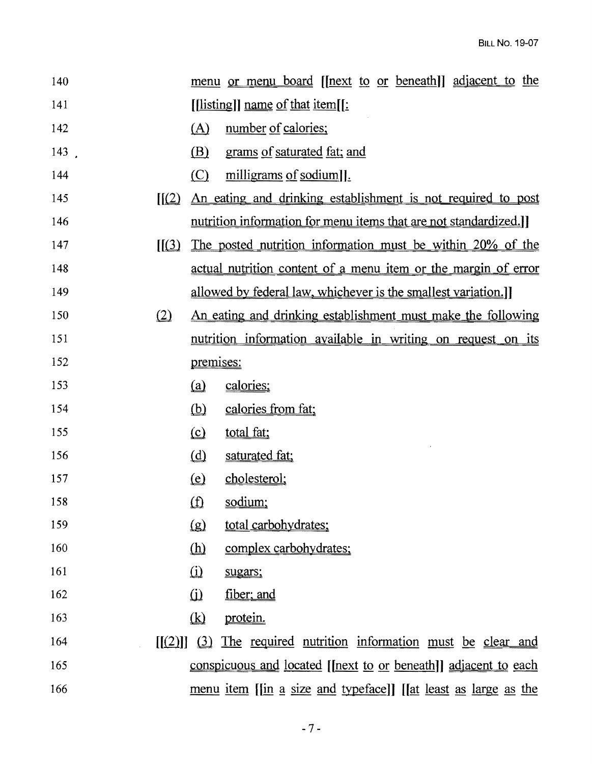| 140  |                  |                                                            | <u>menu or menu board</u> [[next to or beneath]] adjacent to the       |  |
|------|------------------|------------------------------------------------------------|------------------------------------------------------------------------|--|
| 141  |                  |                                                            | $[$ [listing]] name of that item[[:                                    |  |
| 142  |                  | (A)                                                        | number of calories;                                                    |  |
| 143. |                  | (B)                                                        | grams of saturated fat; and                                            |  |
| 144  |                  | (C)                                                        | milligrams of sodium].                                                 |  |
| 145  | $\mathbf{f}(2)$  |                                                            | An eating and drinking establishment is not required to post           |  |
| 146  |                  |                                                            | nutrition information for menu items that are not standardized.]       |  |
| 147  | $\mathcal{L}(3)$ | The posted nutrition information must be within 20% of the |                                                                        |  |
| 148  |                  |                                                            | actual nutrition content of a menu item or the margin of error         |  |
| 149  |                  |                                                            | allowed by federal law, whichever is the smallest variation.]          |  |
| 150  | (2)              |                                                            | An eating and drinking establishment must make the following           |  |
| 151  |                  |                                                            | <u>nutrition information available in writing on request on its</u>    |  |
| 152  |                  | premises:                                                  |                                                                        |  |
| 153  |                  | (a)                                                        | calories;                                                              |  |
| 154  |                  | $\omega$                                                   | calories from fat;                                                     |  |
| 155  |                  | $\Omega$                                                   | total fat;                                                             |  |
| 156  |                  | (d)                                                        | saturated fat;                                                         |  |
| 157  |                  | $\left( \underline{e} \right)$                             | cholesterol;                                                           |  |
| 158  |                  | (f)                                                        | sodium;                                                                |  |
| 159  |                  | $\left( \underline{g} \right)$                             | total carbohydrates:                                                   |  |
| 160  |                  | $\underline{\textbf{(h)}}$                                 | complex carbohydrates;                                                 |  |
| 161  |                  | $\Omega$                                                   | sugars;                                                                |  |
| 162  |                  | $\Omega$                                                   | fiber; and                                                             |  |
| 163  |                  | $\Omega$                                                   | <u>protein.</u>                                                        |  |
| 164  | [ (2) ] [ (3)    |                                                            | The required nutrition information must be clear and                   |  |
| 165  |                  |                                                            | <u>conspicuous and located [[next to or beneath]] adjacent to each</u> |  |
| 166  |                  |                                                            | <u>menu item [[in a size and typeface]] [[at least as large as the</u> |  |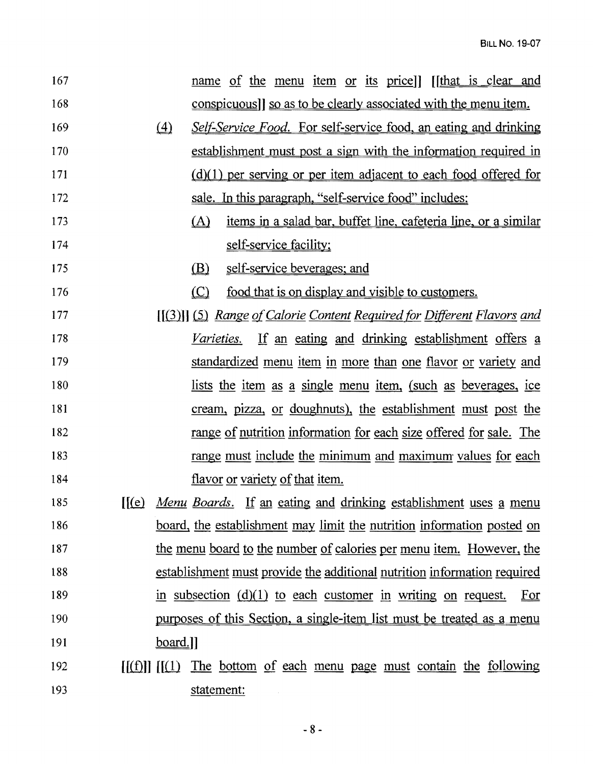| 167 |                                        | name of the menu item or its price) [[that is clear and                       |
|-----|----------------------------------------|-------------------------------------------------------------------------------|
| 168 |                                        | conspicuous] so as to be clearly associated with the menu item.               |
| 169 | $\left(4\right)$                       | <i>Self-Service Food.</i> For self-service food, an eating and drinking       |
| 170 |                                        | establishment must post a sign with the information required in               |
| 171 |                                        | $(d)(1)$ per serving or per item adjacent to each food offered for            |
| 172 |                                        | sale. In this paragraph, "self-service food" includes:                        |
| 173 | (A)                                    | <u>items in a salad bar, buffet line, cafeteria line, or a similar</u>        |
| 174 | self-service facility;                 |                                                                               |
| 175 | <u>(B)</u>                             | self-service beverages; and                                                   |
| 176 | $\circ$                                | food that is on display and visible to customers.                             |
| 177 |                                        | [[(3)]] (5) Range of Calorie Content Required for Different Flavors and       |
| 178 | <i>Varieties.</i>                      | If an eating and drinking establishment offers a                              |
| 179 |                                        | standardized menu item in more than one flavor or variety and                 |
| 180 |                                        | <u>lists the item as a single menu item, (such as beverages, ice</u>          |
| 181 |                                        | <u>cream, pizza, or doughnuts), the establishment must post the</u>           |
| 182 |                                        | range of nutrition information for each size offered for sale. The            |
| 183 |                                        | range must include the minimum and maximum values for each                    |
| 184 | <u>flavor or variety of that item.</u> |                                                                               |
| 185 |                                        | <u>[(e) Menu Boards.</u> If an eating and drinking establishment uses a menu  |
| 186 |                                        | <u>board, the establishment may limit the nutrition information posted on</u> |
| 187 |                                        | the menu board to the number of calories per menu item. However, the          |
| 188 |                                        | establishment must provide the additional nutrition information required      |
| 189 |                                        | in subsection $(d)(1)$ to each customer in writing on request.<br>Eor         |
| 190 |                                        | <u>purposes of this Section, a single-item list must be treated as a menu</u> |
| 191 | $bound.$ ]]                            |                                                                               |
| 192 |                                        | $[(f)]]$ $[(1)$ The bottom of each menu page must contain the following       |
| 193 | statement:                             |                                                                               |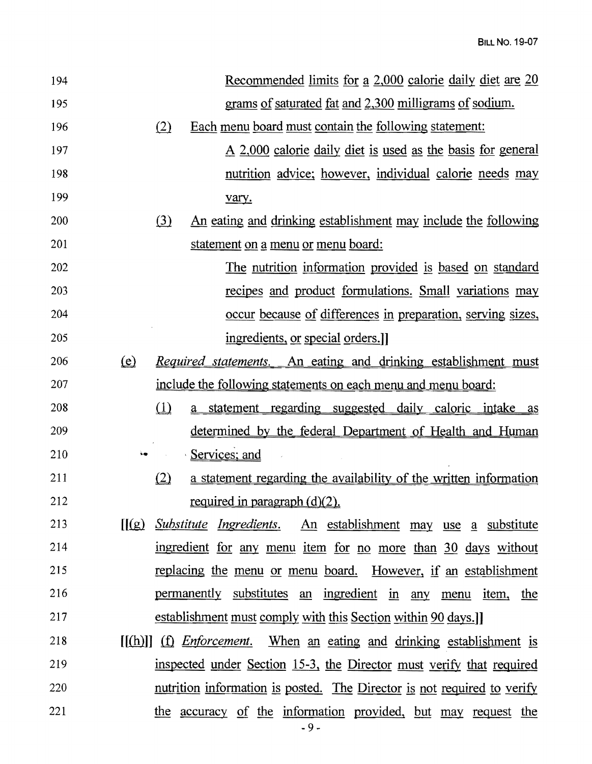| 194 | <u>Recommended limits for a 2,000 calorie daily diet are 20</u>                 |
|-----|---------------------------------------------------------------------------------|
| 195 | grams of saturated fat and 2,300 milligrams of sodium.                          |
| 196 | Each menu board must contain the following statement:<br>(2)                    |
| 197 | <u>A 2,000 calorie daily diet is used as the basis for general</u>              |
| 198 | nutrition advice; however, individual calorie needs may                         |
| 199 | vary.                                                                           |
| 200 | (3)<br><u>An eating and drinking establishment may include the following</u>    |
| 201 | <u>statement on a menu or menu board:</u>                                       |
| 202 | <u>The nutrition information provided is based on standard</u>                  |
| 203 | recipes and product formulations. Small variations may                          |
| 204 | <u>occur because of differences in preparation, serving sizes,</u>              |
| 205 | ingredients, or special orders.                                                 |
| 206 | (e)<br><u>Required statements. An eating and drinking establishment must</u>    |
| 207 | include the following statements on each menu and menu board:                   |
| 208 | $\omega$<br><u>a statement regarding suggested daily caloric intake as</u>      |
| 209 | determined by the federal Department of Health and Human                        |
| 210 | Services; and<br>54                                                             |
| 211 | (2)<br>a statement regarding the availability of the written information        |
| 212 | required in paragraph $(d)(2)$ .                                                |
| 213 | <u>[[(g) Substitute Ingredients. An establishment may use a substitute</u>      |
| 214 | ingredient for any menu item for no more than 30 days without                   |
| 215 | <u>replacing the menu or menu board. However, if an establishment</u>           |
| 216 | permanently substitutes an ingredient in any<br>menu item, the                  |
| 217 | establishment must comply with this Section within 90 days.                     |
| 218 | $[(h)]$ $(f)$ <i>Enforcement</i> . When an eating and drinking establishment is |
| 219 | inspected under Section 15-3, the Director must verify that required            |
| 220 | <u>nutrition information is posted. The Director is not required to verify</u>  |
| 221 | the accuracy of the information provided, but may request the<br>$-9-$          |